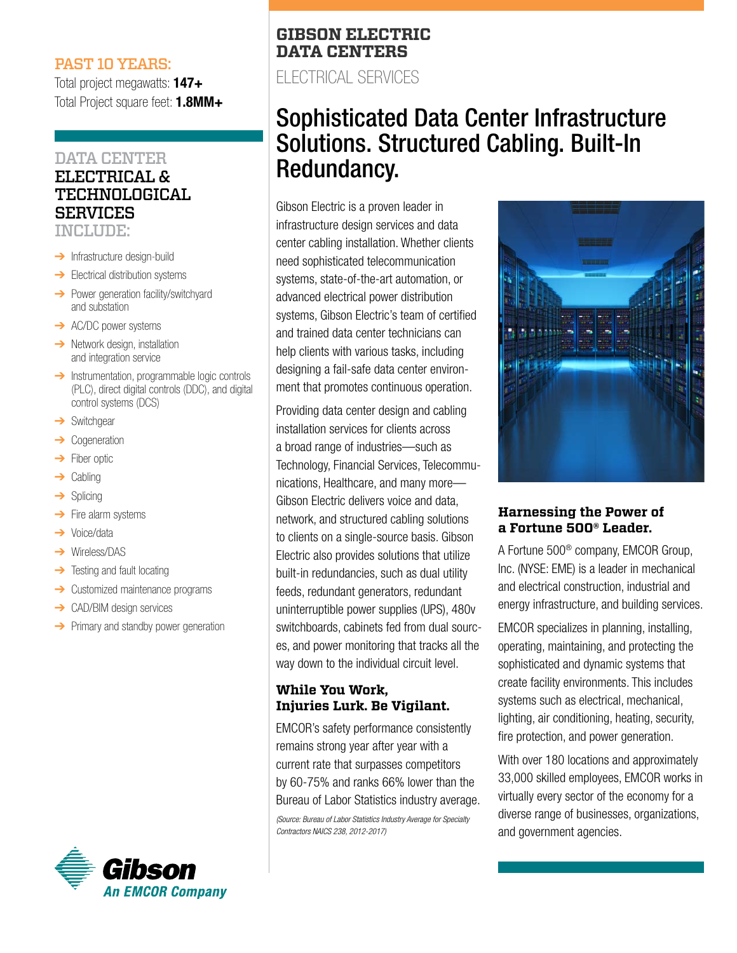#### PAST 10 YEARS:

Total project megawatts: **147+** Total Project square feet: **1.8MM+**

## DATA CENTER

## ELECTRICAL & TECHNOLOGICAL SERVICES

INCLUDE:

- **→** Infrastructure design-build
- $\rightarrow$  Electrical distribution systems
- **→** Power generation facility/switchyard and substation
- **→** AC/DC power systems
- **→** Network design, installation and integration service
- **→** Instrumentation, programmable logic controls (PLC), direct digital controls (DDC), and digital control systems (DCS)
- **→** Switchgear
- **Cogeneration**
- ➔ Fiber optic
- $\rightarrow$  Cabling
- **→** Splicing
- **→** Fire alarm systems
- **→** Voice/data
- ➔ Wireless/DAS
- $\rightarrow$  Testing and fault locating
- **→** Customized maintenance programs
- **→** CAD/BIM design services
- **→** Primary and standby power generation



## **GIBSON ELECTRIC DATA CENTERS**

ELECTRICAL SERVICES

# Sophisticated Data Center Infrastructure Solutions. Structured Cabling. Built-In Redundancy.

Gibson Electric is a proven leader in infrastructure design services and data center cabling installation. Whether clients need sophisticated telecommunication systems, state-of-the-art automation, or advanced electrical power distribution systems, Gibson Electric's team of certified and trained data center technicians can help clients with various tasks, including designing a fail-safe data center environment that promotes continuous operation.

Providing data center design and cabling installation services for clients across a broad range of industries—such as Technology, Financial Services, Telecommunications, Healthcare, and many more— Gibson Electric delivers voice and data, network, and structured cabling solutions to clients on a single-source basis. Gibson Electric also provides solutions that utilize built-in redundancies, such as dual utility feeds, redundant generators, redundant uninterruptible power supplies (UPS), 480v switchboards, cabinets fed from dual sources, and power monitoring that tracks all the way down to the individual circuit level.

## **While You Work, Injuries Lurk. Be Vigilant.**

EMCOR's safety performance consistently remains strong year after year with a current rate that surpasses competitors by 60-75% and ranks 66% lower than the Bureau of Labor Statistics industry average.

*(Source: Bureau of Labor Statistics Industry Average for Specialty Contractors NAICS 238, 2012-2017)*



### **Harnessing the Power of a Fortune 500® Leader.**

A Fortune 500® company, EMCOR Group, Inc. (NYSE: EME) is a leader in mechanical and electrical construction, industrial and energy infrastructure, and building services.

EMCOR specializes in planning, installing, operating, maintaining, and protecting the sophisticated and dynamic systems that create facility environments. This includes systems such as electrical, mechanical, lighting, air conditioning, heating, security, fire protection, and power generation.

With over 180 locations and approximately 33,000 skilled employees, EMCOR works in virtually every sector of the economy for a diverse range of businesses, organizations, and government agencies.